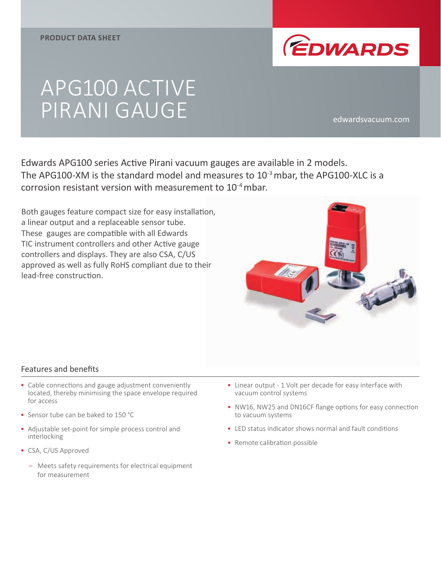

# APG100 ACTIVE PIRANI GAUGE edwardsvacuum.com

Edwards APG100 series Active Pirani vacuum gauges are available in 2 models. The APG100-XM is the standard model and measures to  $10^{-3}$  mbar, the APG100-XLC is a corrosion resistant version with measurement to 10-4 mbar.

Both gauges feature compact size for easy installation, a linear output and a replaceable sensor tube. These gauges are compatible with all Edwards TIC instrument controllers and other Active gauge controllers and displays. They are also CSA, C/US approved as well as fully RoHS compliant due to their lead-free construction.



#### Features and benefits

- Cable connections and gauge adjustment conveniently located, thereby minimising the space envelope required for access
- Sensor tube can be baked to 150 °C
- Adjustable set-point for simple process control and interlocking
- CSA, C/US Approved
	- Meets safety requirements for electrical equipment for measurement
- Linear output 1 Volt per decade for easy interface with vacuum control systems
- NW16, NW25 and DN16CF flange options for easy connection to vacuum systems
- LED status indicator shows normal and fault conditions
- Remote calibration possible